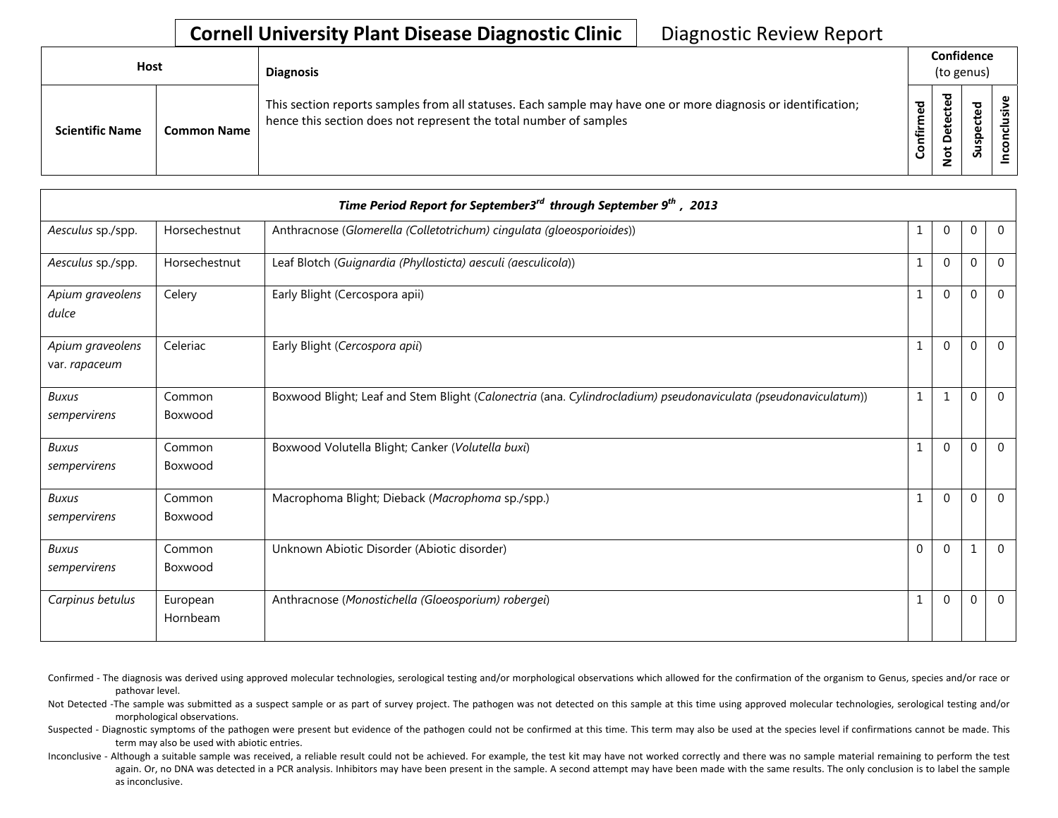| <b>Host</b>            |                    | <b>Diagnosis</b>                                                                                                                                                                   |                   | Confidence<br>(to genus) |             |        |  |  |
|------------------------|--------------------|------------------------------------------------------------------------------------------------------------------------------------------------------------------------------------|-------------------|--------------------------|-------------|--------|--|--|
| <b>Scientific Name</b> | <b>Common Name</b> | This section reports samples from all statuses. Each sample may have one or more diagnosis or identification;<br>hence this section does not represent the total number of samples | ठ<br>Φ<br>ionfirm | ਠ<br>ω<br>≏<br>٩         | ₻<br>௨<br>S | ω<br>s |  |  |

|                                   |                      | Time Period Report for September3 <sup>rd</sup> through September 9 <sup>th</sup> , 2013                       |              |              |              |                |
|-----------------------------------|----------------------|----------------------------------------------------------------------------------------------------------------|--------------|--------------|--------------|----------------|
| Aesculus sp./spp.                 | Horsechestnut        | Anthracnose (Glomerella (Colletotrichum) cingulata (gloeosporioides))                                          | 1            | $\mathbf{0}$ | $\mathbf 0$  | $\overline{0}$ |
| Aesculus sp./spp.                 | Horsechestnut        | Leaf Blotch (Guignardia (Phyllosticta) aesculi (aesculicola))                                                  | $\mathbf{1}$ | $\mathbf 0$  | $\mathbf{0}$ | $\overline{0}$ |
| Apium graveolens<br>dulce         | Celery               | Early Blight (Cercospora apii)                                                                                 | $\mathbf{1}$ | $\mathbf{0}$ | $\Omega$     | $\overline{0}$ |
| Apium graveolens<br>var. rapaceum | Celeriac             | Early Blight (Cercospora apii)                                                                                 | 1            | $\mathbf 0$  | $\mathbf{0}$ | $\overline{0}$ |
| <b>Buxus</b><br>sempervirens      | Common<br>Boxwood    | Boxwood Blight; Leaf and Stem Blight (Calonectria (ana. Cylindrocladium) pseudonaviculata (pseudonaviculatum)) | $\,1\,$      | 1            | $\mathbf 0$  | $\overline{0}$ |
| <b>Buxus</b><br>sempervirens      | Common<br>Boxwood    | Boxwood Volutella Blight; Canker (Volutella buxi)                                                              | $\mathbf{1}$ | $\theta$     | $\mathbf{0}$ | $\overline{0}$ |
| <b>Buxus</b><br>sempervirens      | Common<br>Boxwood    | Macrophoma Blight; Dieback (Macrophoma sp./spp.)                                                               | $\mathbf{1}$ | $\Omega$     | $\mathbf{0}$ | $\overline{0}$ |
| <b>Buxus</b><br>sempervirens      | Common<br>Boxwood    | Unknown Abiotic Disorder (Abiotic disorder)                                                                    | $\mathbf{0}$ | $\mathbf 0$  | 1            | $\overline{0}$ |
| Carpinus betulus                  | European<br>Hornbeam | Anthracnose (Monostichella (Gloeosporium) robergei)                                                            | 1            | $\mathbf 0$  | $\mathbf{0}$ | $\overline{0}$ |

Confirmed - The diagnosis was derived using approved molecular technologies, serological testing and/or morphological observations which allowed for the confirmation of the organism to Genus, species and/or race or pathovar level.

Not Detected -The sample was submitted as a suspect sample or as part of survey project. The pathogen was not detected on this sample at this time using approved molecular technologies, serological testing and/or morphological observations.

Suspected - Diagnostic symptoms of the pathogen were present but evidence of the pathogen could not be confirmed at this time. This term may also be used at the species level if confirmations cannot be made. This term may also be used with abiotic entries.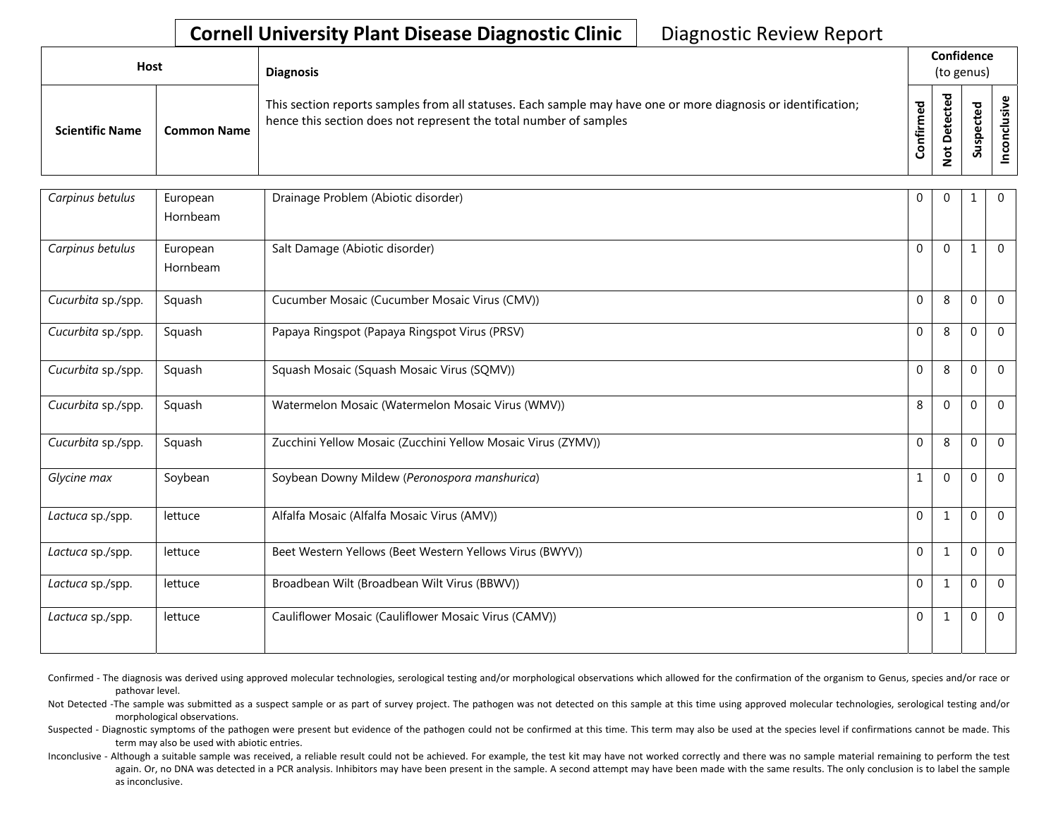| Host                   |                    | <b>Diagnosis</b>                                                                                                                                                                   |             | Confidence<br>(to genus) |   |  |  |  |  |
|------------------------|--------------------|------------------------------------------------------------------------------------------------------------------------------------------------------------------------------------|-------------|--------------------------|---|--|--|--|--|
| <b>Scientific Name</b> | <b>Common Name</b> | This section reports samples from all statuses. Each sample may have one or more diagnosis or identification;<br>hence this section does not represent the total number of samples | ठ<br>onfirm | ᅙ<br>₽                   | S |  |  |  |  |

| Carpinus betulus   | European<br>Hornbeam | Drainage Problem (Abiotic disorder)                          | 0            | $\Omega$     | 1        | $\mathbf{0}$ |
|--------------------|----------------------|--------------------------------------------------------------|--------------|--------------|----------|--------------|
| Carpinus betulus   | European<br>Hornbeam | Salt Damage (Abiotic disorder)                               | $\Omega$     | $\Omega$     |          | $\Omega$     |
| Cucurbita sp./spp. | Squash               | Cucumber Mosaic (Cucumber Mosaic Virus (CMV))                | $\mathbf{0}$ | 8            | $\Omega$ | $\Omega$     |
| Cucurbita sp./spp. | Squash               | Papaya Ringspot (Papaya Ringspot Virus (PRSV)                | $\Omega$     | 8            | $\Omega$ | $\Omega$     |
| Cucurbita sp./spp. | Squash               | Squash Mosaic (Squash Mosaic Virus (SQMV))                   | $\Omega$     | 8            | $\Omega$ | $\Omega$     |
| Cucurbita sp./spp. | Squash               | Watermelon Mosaic (Watermelon Mosaic Virus (WMV))            | 8            | $\Omega$     | 0        | $\Omega$     |
| Cucurbita sp./spp. | Squash               | Zucchini Yellow Mosaic (Zucchini Yellow Mosaic Virus (ZYMV)) | $\Omega$     | 8            | $\Omega$ | $\Omega$     |
| Glycine max        | Soybean              | Soybean Downy Mildew (Peronospora manshurica)                | $\mathbf{1}$ | $\Omega$     | 0        | $\Omega$     |
| Lactuca sp./spp.   | lettuce              | Alfalfa Mosaic (Alfalfa Mosaic Virus (AMV))                  | $\mathbf 0$  | $\mathbf{1}$ | 0        | $\Omega$     |
| Lactuca sp./spp.   | lettuce              | Beet Western Yellows (Beet Western Yellows Virus (BWYV))     | $\mathbf{0}$ | $\mathbf{1}$ | $\Omega$ | $\Omega$     |
| Lactuca sp./spp.   | lettuce              | Broadbean Wilt (Broadbean Wilt Virus (BBWV))                 | $\Omega$     | $\mathbf{1}$ | $\Omega$ | $\Omega$     |
| Lactuca sp./spp.   | lettuce              | Cauliflower Mosaic (Cauliflower Mosaic Virus (CAMV))         | $\Omega$     | $\mathbf{1}$ | $\Omega$ | $\Omega$     |

Confirmed - The diagnosis was derived using approved molecular technologies, serological testing and/or morphological observations which allowed for the confirmation of the organism to Genus, species and/or race or pathovar level.

Not Detected -The sample was submitted as a suspect sample or as part of survey project. The pathogen was not detected on this sample at this time using approved molecular technologies, serological testing and/or morphological observations.

Suspected - Diagnostic symptoms of the pathogen were present but evidence of the pathogen could not be confirmed at this time. This term may also be used at the species level if confirmations cannot be made. This term may also be used with abiotic entries.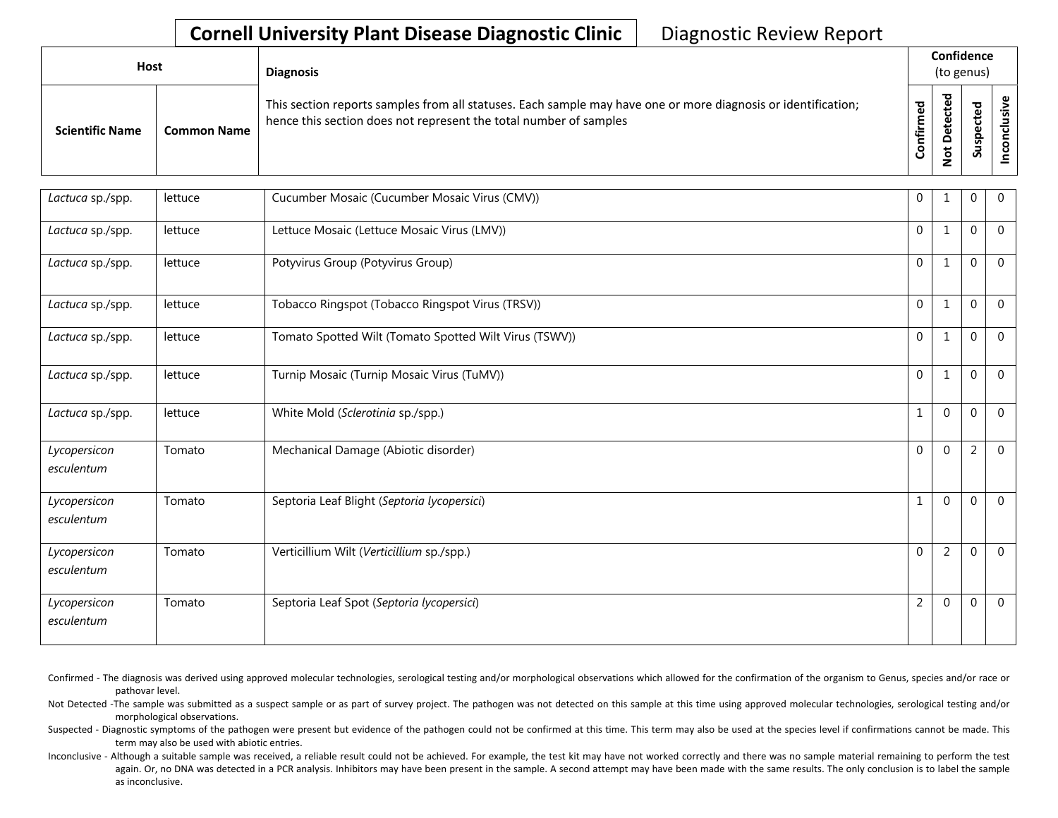| <b>Host</b>            |                    | <b>Diagnosis</b>                                                                                                                                                                   |          | Confidence<br>(to genus) |                                      |                    |  |  |  |
|------------------------|--------------------|------------------------------------------------------------------------------------------------------------------------------------------------------------------------------------|----------|--------------------------|--------------------------------------|--------------------|--|--|--|
| <b>Scientific Name</b> | <b>Common Name</b> | This section reports samples from all statuses. Each sample may have one or more diagnosis or identification;<br>hence this section does not represent the total number of samples | ᇴ<br>tir | ᇃ<br>ω<br>å              | ਠ<br>உ<br>ن<br>Φ<br>௨<br>w<br>っ<br>S | <u>ی</u><br>ပ<br>ě |  |  |  |

| Lactuca sp./spp.           | lettuce | Cucumber Mosaic (Cucumber Mosaic Virus (CMV))          | $\mathbf 0$    | 1              | $\Omega$       | $\overline{0}$ |
|----------------------------|---------|--------------------------------------------------------|----------------|----------------|----------------|----------------|
| Lactuca sp./spp.           | lettuce | Lettuce Mosaic (Lettuce Mosaic Virus (LMV))            | $\mathbf 0$    | $\mathbf{1}$   | $\Omega$       | $\Omega$       |
| Lactuca sp./spp.           | lettuce | Potyvirus Group (Potyvirus Group)                      | $\mathbf 0$    | 1              | $\Omega$       | $\Omega$       |
| Lactuca sp./spp.           | lettuce | Tobacco Ringspot (Tobacco Ringspot Virus (TRSV))       | $\mathbf{0}$   | $\mathbf{1}$   | $\Omega$       | $\overline{0}$ |
| Lactuca sp./spp.           | lettuce | Tomato Spotted Wilt (Tomato Spotted Wilt Virus (TSWV)) | $\mathbf{0}$   | 1              | $\Omega$       | $\Omega$       |
| Lactuca sp./spp.           | lettuce | Turnip Mosaic (Turnip Mosaic Virus (TuMV))             | $\mathbf 0$    | 1              | $\theta$       | $\Omega$       |
| Lactuca sp./spp.           | lettuce | White Mold (Sclerotinia sp./spp.)                      | $\mathbf 1$    | $\mathbf 0$    | $\Omega$       | $\overline{0}$ |
| Lycopersicon<br>esculentum | Tomato  | Mechanical Damage (Abiotic disorder)                   | $\Omega$       | $\Omega$       | $\overline{2}$ | $\mathbf{0}$   |
| Lycopersicon<br>esculentum | Tomato  | Septoria Leaf Blight (Septoria lycopersici)            | $\mathbf{1}$   | $\Omega$       | $\Omega$       | $\Omega$       |
| Lycopersicon<br>esculentum | Tomato  | Verticillium Wilt (Verticillium sp./spp.)              | $\mathbf 0$    | $\overline{2}$ | $\Omega$       | $\Omega$       |
| Lycopersicon<br>esculentum | Tomato  | Septoria Leaf Spot (Septoria lycopersici)              | $\overline{2}$ | $\Omega$       | $\Omega$       | $\overline{0}$ |

Confirmed - The diagnosis was derived using approved molecular technologies, serological testing and/or morphological observations which allowed for the confirmation of the organism to Genus, species and/or race or pathovar level.

Not Detected -The sample was submitted as a suspect sample or as part of survey project. The pathogen was not detected on this sample at this time using approved molecular technologies, serological testing and/or morphological observations.

Suspected - Diagnostic symptoms of the pathogen were present but evidence of the pathogen could not be confirmed at this time. This term may also be used at the species level if confirmations cannot be made. This term may also be used with abiotic entries.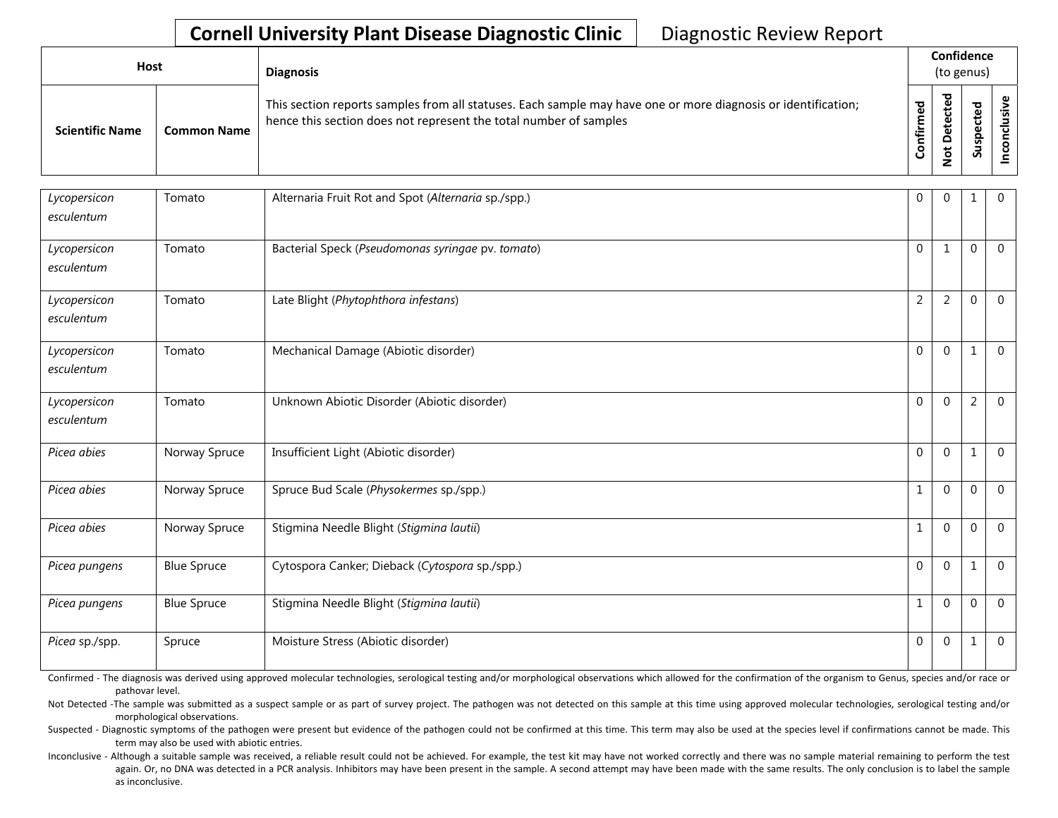| <b>Host</b>            |                    | <b>Diagnosis</b>                                                                                                                                                                   |                      | Confidence<br>(to genus)                                 |                                 |  |  |  |  |
|------------------------|--------------------|------------------------------------------------------------------------------------------------------------------------------------------------------------------------------------|----------------------|----------------------------------------------------------|---------------------------------|--|--|--|--|
| <b>Scientific Name</b> | <b>Common Name</b> | This section reports samples from all statuses. Each sample may have one or more diagnosis or identification;<br>hence this section does not represent the total number of samples | ᇃ<br>ě<br>E<br>onfir | ᅙ<br>$\mathbf{\omega}$<br>ِ ق<br>ÒΨ<br>۵<br>$\circ$<br>z | ਠ<br>₽<br>ن<br>௨<br>s<br>∍<br>S |  |  |  |  |

| Lycopersicon<br>esculentum | Tomato             | Alternaria Fruit Rot and Spot (Alternaria sp./spp.) | $\mathbf{0}$   | $\mathbf{0}$   | 1        | $\overline{0}$ |
|----------------------------|--------------------|-----------------------------------------------------|----------------|----------------|----------|----------------|
| Lycopersicon<br>esculentum | Tomato             | Bacterial Speck (Pseudomonas syringae pv. tomato)   | $\Omega$       | $\mathbf{1}$   | $\Omega$ | $\Omega$       |
| Lycopersicon<br>esculentum | Tomato             | Late Blight (Phytophthora infestans)                | $\overline{2}$ | $\overline{2}$ | $\Omega$ | $\overline{0}$ |
| Lycopersicon<br>esculentum | Tomato             | Mechanical Damage (Abiotic disorder)                | $\Omega$       | $\Omega$       |          | $\Omega$       |
| Lycopersicon<br>esculentum | Tomato             | Unknown Abiotic Disorder (Abiotic disorder)         | $\Omega$       | $\Omega$       | 2        | $\Omega$       |
| Picea abies                | Norway Spruce      | Insufficient Light (Abiotic disorder)               | $\Omega$       | $\Omega$       |          | $\Omega$       |
| Picea abies                | Norway Spruce      | Spruce Bud Scale (Physokermes sp./spp.)             | $\mathbf{1}$   | $\Omega$       | $\Omega$ | $\mathbf{0}$   |
| Picea abies                | Norway Spruce      | Stigmina Needle Blight (Stigmina lautii)            | $\mathbf{1}$   | $\Omega$       | $\Omega$ | $\mathbf 0$    |
| Picea pungens              | <b>Blue Spruce</b> | Cytospora Canker; Dieback (Cytospora sp./spp.)      | $\mathbf 0$    | $\Omega$       | 1        | $\mathbf 0$    |
| Picea pungens              | <b>Blue Spruce</b> | Stigmina Needle Blight (Stigmina lautii)            | $\mathbf{1}$   | $\Omega$       | $\Omega$ | $\Omega$       |
| Picea sp./spp.             | Spruce             | Moisture Stress (Abiotic disorder)                  | $\mathbf 0$    | $\overline{0}$ | 1        | $\overline{0}$ |

Confirmed - The diagnosis was derived using approved molecular technologies, serological testing and/or morphological observations which allowed for the confirmation of the organism to Genus, species and/or race or pathovar level.

Not Detected -The sample was submitted as a suspect sample or as part of survey project. The pathogen was not detected on this sample at this time using approved molecular technologies, serological testing and/or morphological observations.

Suspected - Diagnostic symptoms of the pathogen were present but evidence of the pathogen could not be confirmed at this time. This term may also be used at the species level if confirmations cannot be made. This term may also be used with abiotic entries.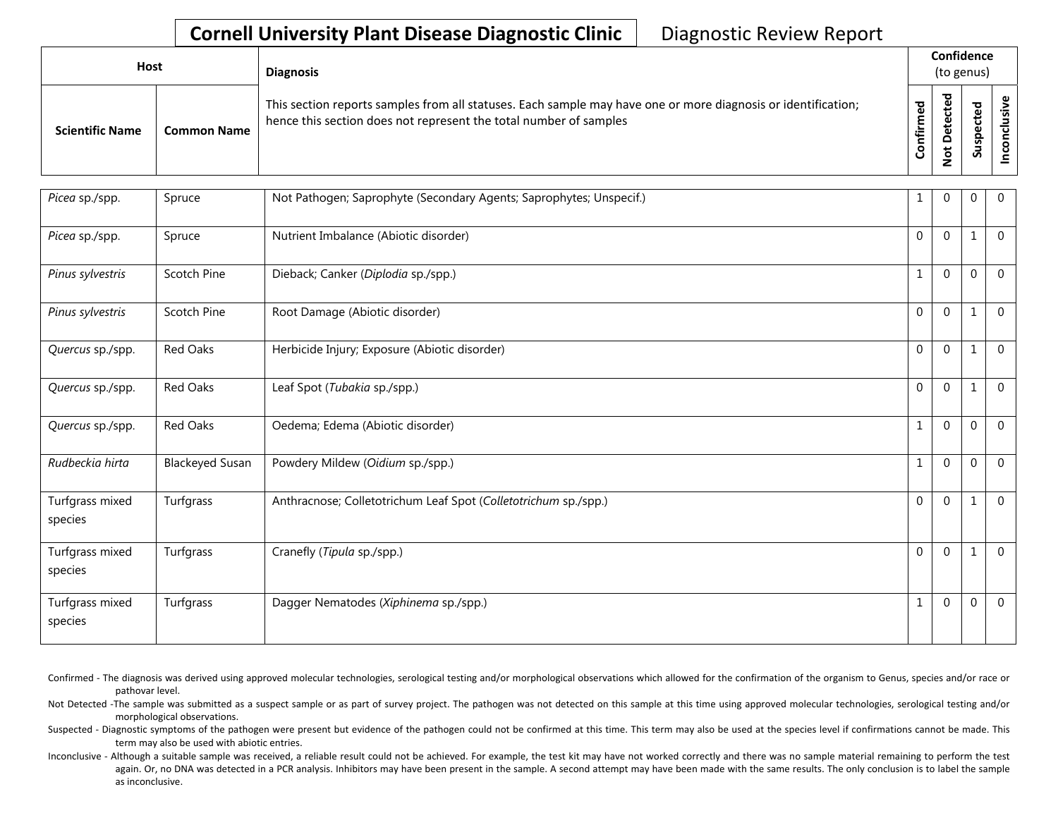| <b>Host</b>            |                    | <b>Diagnosis</b>                                                                                                                                                                   |          | Confidence<br>(to genus) |                                      |               |  |  |  |
|------------------------|--------------------|------------------------------------------------------------------------------------------------------------------------------------------------------------------------------------|----------|--------------------------|--------------------------------------|---------------|--|--|--|
| <b>Scientific Name</b> | <b>Common Name</b> | This section reports samples from all statuses. Each sample may have one or more diagnosis or identification;<br>hence this section does not represent the total number of samples | ᇴ<br>tir | ᇃ<br>ક                   | ᇴ<br>உ<br>ں<br>Φ<br>௨<br>w<br>۔<br>S | <u>ی</u><br>ت |  |  |  |

| Picea sp./spp.             | Spruce                 | Not Pathogen; Saprophyte (Secondary Agents; Saprophytes; Unspecif.) | $1\,$            | $\Omega$     | $\mathbf 0$  | $\overline{0}$ |
|----------------------------|------------------------|---------------------------------------------------------------------|------------------|--------------|--------------|----------------|
| Picea sp./spp.             | Spruce                 | Nutrient Imbalance (Abiotic disorder)                               | $\mathbf 0$      | $\mathbf{0}$ | $\mathbf{1}$ | $\Omega$       |
| Pinus sylvestris           | Scotch Pine            | Dieback; Canker (Diplodia sp./spp.)                                 | $\mathbf{1}$     | $\Omega$     | $\mathbf 0$  | $\overline{0}$ |
| Pinus sylvestris           | Scotch Pine            | Root Damage (Abiotic disorder)                                      | $\mathbf 0$      | $\mathbf{0}$ | $\mathbf{1}$ | $\Omega$       |
| Quercus sp./spp.           | Red Oaks               | Herbicide Injury; Exposure (Abiotic disorder)                       | $\boldsymbol{0}$ | 0            | $\mathbf{1}$ | $\Omega$       |
| Quercus sp./spp.           | <b>Red Oaks</b>        | Leaf Spot (Tubakia sp./spp.)                                        | $\mathbf 0$      | $\mathbf{0}$ | $\mathbf{1}$ | $\overline{0}$ |
| Quercus sp./spp.           | Red Oaks               | Oedema; Edema (Abiotic disorder)                                    | $\mathbf{1}$     | $\mathbf{0}$ | $\mathbf 0$  | $\mathbf 0$    |
| Rudbeckia hirta            | <b>Blackeyed Susan</b> | Powdery Mildew (Oidium sp./spp.)                                    | $\mathbf{1}$     | $\mathbf 0$  | $\mathbf 0$  | $\overline{0}$ |
| Turfgrass mixed<br>species | Turfgrass              | Anthracnose; Colletotrichum Leaf Spot (Colletotrichum sp./spp.)     | $\mathbf 0$      | $\mathbf{0}$ | $\mathbf{1}$ | $\mathbf{0}$   |
| Turfgrass mixed<br>species | Turfgrass              | Cranefly (Tipula sp./spp.)                                          | $\mathbf 0$      | $\mathbf{0}$ | 1            | $\Omega$       |
| Turfgrass mixed<br>species | Turfgrass              | Dagger Nematodes (Xiphinema sp./spp.)                               | 1                | $\Omega$     | $\mathbf{0}$ | $\overline{0}$ |

- Confirmed The diagnosis was derived using approved molecular technologies, serological testing and/or morphological observations which allowed for the confirmation of the organism to Genus, species and/or race or pathovar level.
- Not Detected -The sample was submitted as a suspect sample or as part of survey project. The pathogen was not detected on this sample at this time using approved molecular technologies, serological testing and/or morphological observations.
- Suspected Diagnostic symptoms of the pathogen were present but evidence of the pathogen could not be confirmed at this time. This term may also be used at the species level if confirmations cannot be made. This term may also be used with abiotic entries.
- Inconclusive Although a suitable sample was received, a reliable result could not be achieved. For example, the test kit may have not worked correctly and there was no sample material remaining to perform the test again. Or, no DNA was detected in a PCR analysis. Inhibitors may have been present in the sample. A second attempt may have been made with the same results. The only conclusion is to label the sample as inconclusive.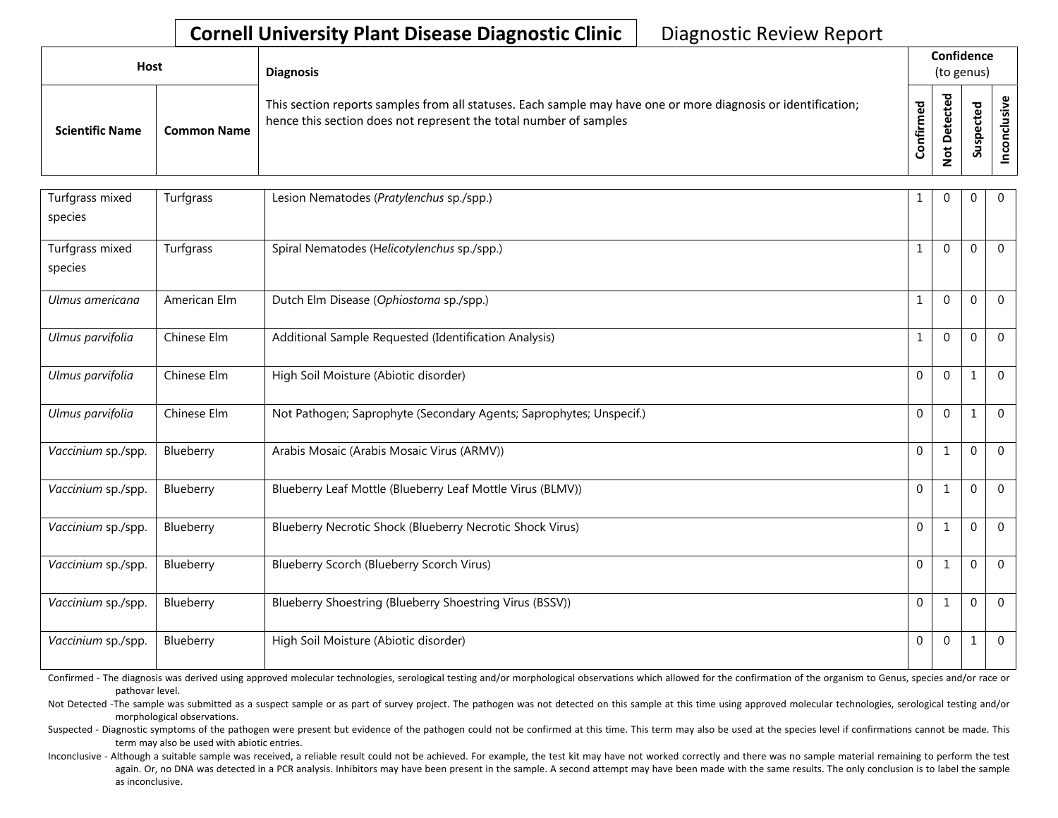| Host                   |                    | <b>Diagnosis</b>                                                                                                                                                                   |                      | Confidence<br>(to genus) |              |   |  |  |  |
|------------------------|--------------------|------------------------------------------------------------------------------------------------------------------------------------------------------------------------------------|----------------------|--------------------------|--------------|---|--|--|--|
| <b>Scientific Name</b> | <b>Common Name</b> | This section reports samples from all statuses. Each sample may have one or more diagnosis or identification;<br>hence this section does not represent the total number of samples | შ<br>მ<br>Ē<br>onfir | ठ<br>پ<br>S              | ᅙ<br>௨<br>ູລ | ပ |  |  |  |

| Turfgrass mixed<br>species | Turfgrass    | Lesion Nematodes (Pratylenchus sp./spp.)                            | 1                | $\Omega$     | $\Omega$     | $\Omega$       |
|----------------------------|--------------|---------------------------------------------------------------------|------------------|--------------|--------------|----------------|
| Turfgrass mixed<br>species | Turfgrass    | Spiral Nematodes (Helicotylenchus sp./spp.)                         | $\mathbf{1}$     | $\Omega$     | $\theta$     | $\Omega$       |
| Ulmus americana            | American Elm | Dutch Elm Disease (Ophiostoma sp./spp.)                             | $\mathbf{1}$     | $\Omega$     | $\Omega$     | $\Omega$       |
| Ulmus parvifolia           | Chinese Elm  | Additional Sample Requested (Identification Analysis)               | $\mathbf{1}$     | $\mathbf{0}$ | $\Omega$     | $\Omega$       |
| Ulmus parvifolia           | Chinese Elm  | High Soil Moisture (Abiotic disorder)                               | $\boldsymbol{0}$ | $\mathbf{0}$ | 1            | $\mathbf{0}$   |
| Ulmus parvifolia           | Chinese Elm  | Not Pathogen; Saprophyte (Secondary Agents; Saprophytes; Unspecif.) | $\mathbf{0}$     | $\Omega$     | $\mathbf{1}$ | $\mathbf{0}$   |
| Vaccinium sp./spp.         | Blueberry    | Arabis Mosaic (Arabis Mosaic Virus (ARMV))                          | $\mathbf 0$      | $\mathbf{1}$ | $\theta$     | $\mathbf{0}$   |
| Vaccinium sp./spp.         | Blueberry    | Blueberry Leaf Mottle (Blueberry Leaf Mottle Virus (BLMV))          | $\mathbf 0$      | $\mathbf{1}$ | $\mathbf{0}$ | $\Omega$       |
| Vaccinium sp./spp.         | Blueberry    | Blueberry Necrotic Shock (Blueberry Necrotic Shock Virus)           | $\mathbf 0$      | 1            | $\Omega$     | $\Omega$       |
| Vaccinium sp./spp.         | Blueberry    | Blueberry Scorch (Blueberry Scorch Virus)                           | $\mathbf 0$      | 1            | $\Omega$     | $\Omega$       |
| Vaccinium sp./spp.         | Blueberry    | Blueberry Shoestring (Blueberry Shoestring Virus (BSSV))            | $\mathbf 0$      | 1            | $\Omega$     | $\Omega$       |
| Vaccinium sp./spp.         | Blueberry    | High Soil Moisture (Abiotic disorder)                               | $\mathbf{0}$     | $\mathbf{0}$ | 1            | $\overline{0}$ |

Confirmed - The diagnosis was derived using approved molecular technologies, serological testing and/or morphological observations which allowed for the confirmation of the organism to Genus, species and/or race or pathovar level.

Not Detected -The sample was submitted as a suspect sample or as part of survey project. The pathogen was not detected on this sample at this time using approved molecular technologies, serological testing and/or morphological observations.

Suspected - Diagnostic symptoms of the pathogen were present but evidence of the pathogen could not be confirmed at this time. This term may also be used at the species level if confirmations cannot be made. This term may also be used with abiotic entries.